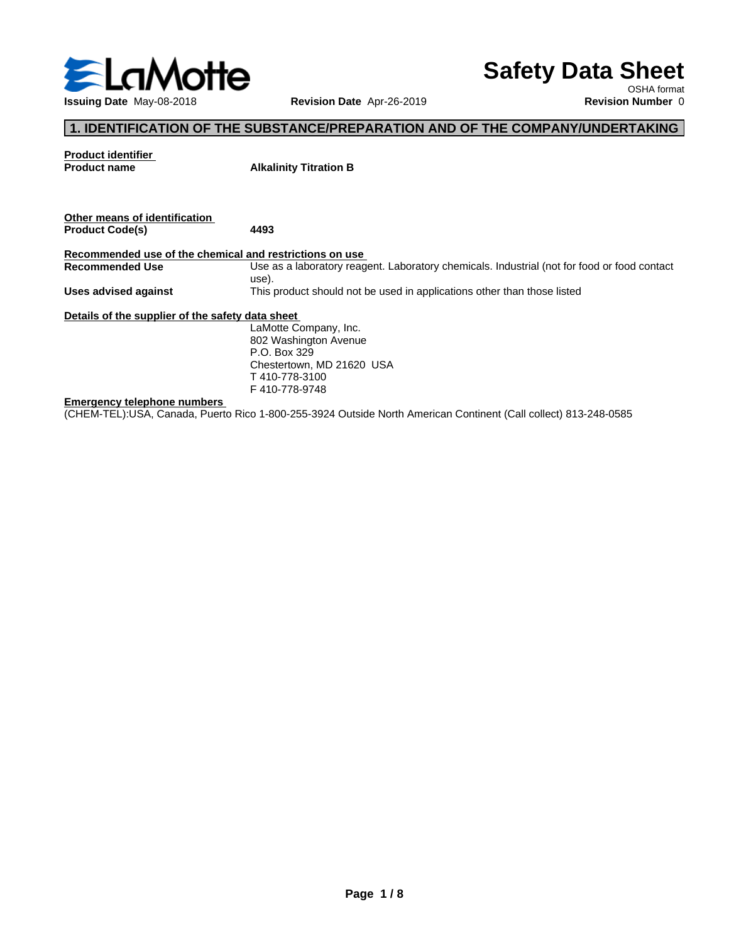

# **Safety Data Sheet**

OSHA format

# **1. IDENTIFICATION OF THE SUBSTANCE/PREPARATION AND OF THE COMPANY/UNDERTAKING**

| <b>Product identifier</b><br><b>Product name</b>        | <b>Alkalinity Titration B</b>                                                                        |
|---------------------------------------------------------|------------------------------------------------------------------------------------------------------|
|                                                         |                                                                                                      |
| Other means of identification<br><b>Product Code(s)</b> | 4493                                                                                                 |
| Recommended use of the chemical and restrictions on use |                                                                                                      |
| <b>Recommended Use</b>                                  | Use as a laboratory reagent. Laboratory chemicals. Industrial (not for food or food contact<br>use). |
| Uses advised against                                    | This product should not be used in applications other than those listed                              |
| Details of the supplier of the safety data sheet        |                                                                                                      |
|                                                         | LaMotte Company, Inc.                                                                                |
|                                                         | 802 Washington Avenue                                                                                |
|                                                         | P.O. Box 329                                                                                         |
|                                                         | Chestertown, MD 21620 USA                                                                            |
|                                                         | T 410-778-3100                                                                                       |
|                                                         | F410-778-9748                                                                                        |
| <b>Emergency telephone numbers</b>                      |                                                                                                      |

(CHEM-TEL):USA, Canada, Puerto Rico 1-800-255-3924 Outside North American Continent (Call collect) 813-248-0585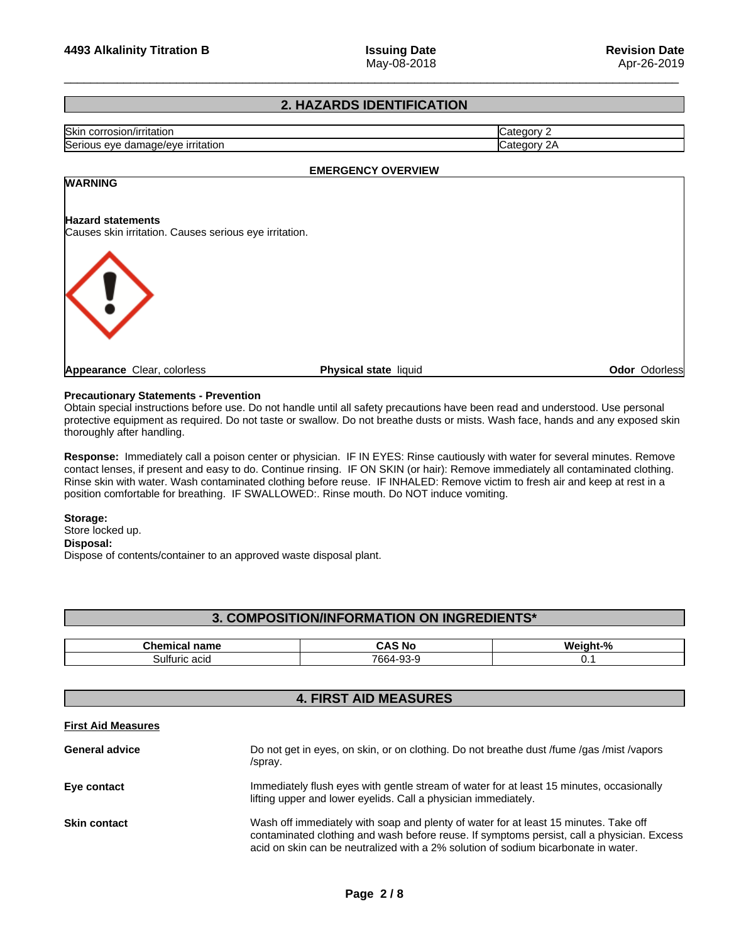# **2. HAZARDS IDENTIFICATION**

| Skir<br>corrosion/irritation | ∴ategory       |
|------------------------------|----------------|
| Serious                      | ∵ategoس        |
| irritation                   | ำrv            |
| damade/eve                   | $\mathcal{L}F$ |
| eve                          |                |

## **EMERGENCY OVERVIEW**

# **WARNING**

## **Hazard statements**

Causes skin irritation. Causes serious eye irritation.



**Appearance** Clear, colorless **Physical state** liquid

**Odor** Odorless

## **Precautionary Statements - Prevention**

Obtain special instructions before use. Do not handle until all safety precautions have been read and understood. Use personal protective equipment as required. Do not taste or swallow. Do not breathe dusts or mists. Wash face, hands and any exposed skin thoroughly after handling.

Response: Immediately call a poison center or physician. IF IN EYES: Rinse cautiously with water for several minutes. Remove contact lenses, if present and easy to do. Continue rinsing. IF ON SKIN (or hair): Remove immediately all contaminated clothing. Rinse skin with water. Wash contaminated clothing before reuse. IF INHALED: Remove victim to fresh air and keep at rest in a position comfortable for breathing. IF SWALLOWED:. Rinse mouth. Do NOT induce vomiting.

## **Storage:**

Store locked up.

# **Disposal:**

Dispose of contents/container to an approved waste disposal plant.

# **3. COMPOSITION/INFORMATION ON INGREDIENTS\***

| Chemical<br>name | No.<br>$\mathbf{r}$<br>. .<br>  | . .<br><br>זות<br>$\sqrt{2}$ |
|------------------|---------------------------------|------------------------------|
| Sulfuric aciu    | 766A<br>$\sim$<br>ີ<br>ື<br>. . | <b>v.,</b>                   |

# **4. FIRST AID MEASURES**

## **First Aid Measures**

| <b>General advice</b> | Do not get in eyes, on skin, or on clothing. Do not breathe dust /fume /gas /mist /vapors<br>/spray.                                                                                                                                                                     |
|-----------------------|--------------------------------------------------------------------------------------------------------------------------------------------------------------------------------------------------------------------------------------------------------------------------|
| Eye contact           | Immediately flush eyes with gentle stream of water for at least 15 minutes, occasionally<br>lifting upper and lower eyelids. Call a physician immediately.                                                                                                               |
| <b>Skin contact</b>   | Wash off immediately with soap and plenty of water for at least 15 minutes. Take off<br>contaminated clothing and wash before reuse. If symptoms persist, call a physician. Excess<br>acid on skin can be neutralized with a 2% solution of sodium bicarbonate in water. |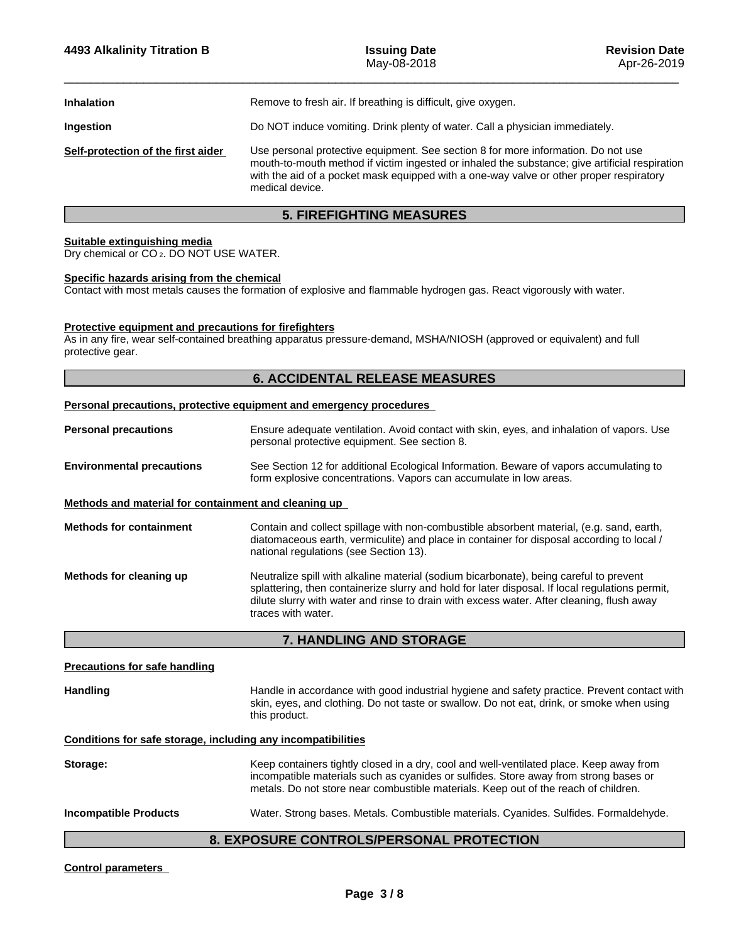| Remove to fresh air. If breathing is difficult, give oxygen.<br><b>Inhalation</b><br>Do NOT induce vomiting. Drink plenty of water. Call a physician immediately.<br>Ingestion<br>Use personal protective equipment. See section 8 for more information. Do not use<br>Self-protection of the first aider<br>mouth-to-mouth method if victim ingested or inhaled the substance; give artificial respiration<br>with the aid of a pocket mask equipped with a one-way valve or other proper respiratory<br>medical device. |  |
|---------------------------------------------------------------------------------------------------------------------------------------------------------------------------------------------------------------------------------------------------------------------------------------------------------------------------------------------------------------------------------------------------------------------------------------------------------------------------------------------------------------------------|--|
|                                                                                                                                                                                                                                                                                                                                                                                                                                                                                                                           |  |
|                                                                                                                                                                                                                                                                                                                                                                                                                                                                                                                           |  |
|                                                                                                                                                                                                                                                                                                                                                                                                                                                                                                                           |  |

# **5. FIREFIGHTING MEASURES**

## **Suitable extinguishing media**

Dry chemical or CO 2. DO NOT USE WATER.

## **Specific hazards arising from the chemical**

Contact with most metals causes the formation of explosive and flammable hydrogen gas. React vigorously with water.

# **Protective equipment and precautions for firefighters**

As in any fire, wear self-contained breathing apparatus pressure-demand, MSHA/NIOSH (approved or equivalent) and full protective gear.

# **6. ACCIDENTAL RELEASE MEASURES**

## **Personal precautions, protective equipment and emergency procedures**

| <b>Personal precautions</b>                          | Ensure adequate ventilation. Avoid contact with skin, eyes, and inhalation of vapors. Use<br>personal protective equipment. See section 8.                                                                                                                                                                   |
|------------------------------------------------------|--------------------------------------------------------------------------------------------------------------------------------------------------------------------------------------------------------------------------------------------------------------------------------------------------------------|
| <b>Environmental precautions</b>                     | See Section 12 for additional Ecological Information. Beware of vapors accumulating to<br>form explosive concentrations. Vapors can accumulate in low areas.                                                                                                                                                 |
| Methods and material for containment and cleaning up |                                                                                                                                                                                                                                                                                                              |
| <b>Methods for containment</b>                       | Contain and collect spillage with non-combustible absorbent material, (e.g. sand, earth,<br>diatomaceous earth, vermiculite) and place in container for disposal according to local /<br>national regulations (see Section 13).                                                                              |
| Methods for cleaning up                              | Neutralize spill with alkaline material (sodium bicarbonate), being careful to prevent<br>splattering, then containerize slurry and hold for later disposal. If local regulations permit,<br>dilute slurry with water and rinse to drain with excess water. After cleaning, flush away<br>traces with water. |

## **7. HANDLING AND STORAGE**

| <b>Precautions for safe handling</b> |                                                                                                                                                                                                                                                                        |
|--------------------------------------|------------------------------------------------------------------------------------------------------------------------------------------------------------------------------------------------------------------------------------------------------------------------|
| <b>Handling</b>                      | Handle in accordance with good industrial hygiene and safety practice. Prevent contact with<br>skin, eyes, and clothing. Do not taste or swallow. Do not eat, drink, or smoke when using<br>this product.                                                              |
|                                      | Conditions for safe storage, including any incompatibilities                                                                                                                                                                                                           |
| Storage:                             | Keep containers tightly closed in a dry, cool and well-ventilated place. Keep away from<br>incompatible materials such as cyanides or sulfides. Store away from strong bases or<br>metals. Do not store near combustible materials. Keep out of the reach of children. |
| <b>Incompatible Products</b>         | Water. Strong bases. Metals. Combustible materials. Cyanides. Sulfides. Formaldehyde.                                                                                                                                                                                  |
|                                      | EVBAAURE AANTRALAIRERAAN JI<br><b>BBATEATIAU</b>                                                                                                                                                                                                                       |

# **8. EXPOSURE CONTROLS/PERSONAL PROTECTION**

## **Control parameters**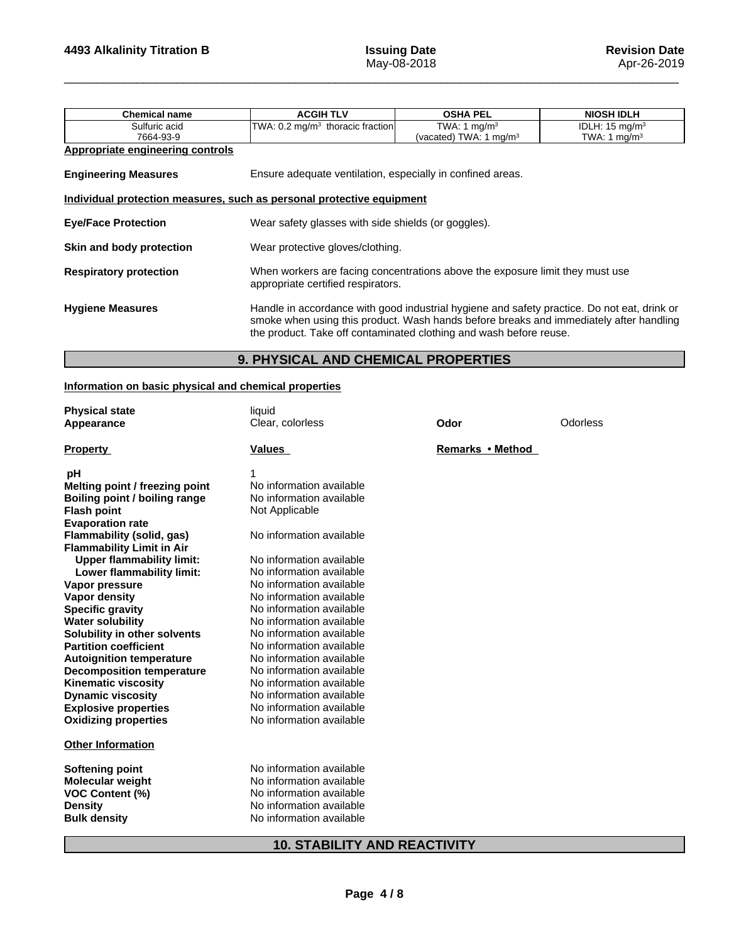| <b>Chemical name</b>                                                  | <b>ACGIH TLV</b>                                                                                                                                                                                                                                            | <b>OSHA PEL</b>                    | <b>NIOSH IDLH</b>         |  |  |
|-----------------------------------------------------------------------|-------------------------------------------------------------------------------------------------------------------------------------------------------------------------------------------------------------------------------------------------------------|------------------------------------|---------------------------|--|--|
| Sulfuric acid                                                         | TWA: 0.2 mg/m <sup>3</sup> thoracic fraction                                                                                                                                                                                                                | TWA: 1 $mg/m3$                     | IDLH: $15 \text{ mg/m}^3$ |  |  |
| 7664-93-9                                                             |                                                                                                                                                                                                                                                             | (vacated) TWA: 1 mg/m <sup>3</sup> | TWA: 1 mg/m <sup>3</sup>  |  |  |
| Appropriate engineering controls                                      |                                                                                                                                                                                                                                                             |                                    |                           |  |  |
| <b>Engineering Measures</b>                                           | Ensure adequate ventilation, especially in confined areas.                                                                                                                                                                                                  |                                    |                           |  |  |
| Individual protection measures, such as personal protective equipment |                                                                                                                                                                                                                                                             |                                    |                           |  |  |
| <b>Eye/Face Protection</b>                                            | Wear safety glasses with side shields (or goggles).                                                                                                                                                                                                         |                                    |                           |  |  |
| Skin and body protection                                              | Wear protective gloves/clothing.                                                                                                                                                                                                                            |                                    |                           |  |  |
| <b>Respiratory protection</b>                                         | When workers are facing concentrations above the exposure limit they must use<br>appropriate certified respirators.                                                                                                                                         |                                    |                           |  |  |
| <b>Hygiene Measures</b>                                               | Handle in accordance with good industrial hygiene and safety practice. Do not eat, drink or<br>smoke when using this product. Wash hands before breaks and immediately after handling<br>the product. Take off contaminated clothing and wash before reuse. |                                    |                           |  |  |

# **9. PHYSICAL AND CHEMICAL PROPERTIES**

# **Information on basic physical and chemical properties**

| <b>Physical state</b><br>Appearance                           | liquid<br>Clear, colorless          | Odor             | Odorless |
|---------------------------------------------------------------|-------------------------------------|------------------|----------|
| <b>Property</b>                                               | Values                              | Remarks • Method |          |
| рH                                                            |                                     |                  |          |
| Melting point / freezing point                                | No information available            |                  |          |
| Boiling point / boiling range                                 | No information available            |                  |          |
| <b>Flash point</b>                                            | Not Applicable                      |                  |          |
| <b>Evaporation rate</b>                                       |                                     |                  |          |
| Flammability (solid, gas)<br><b>Flammability Limit in Air</b> | No information available            |                  |          |
| <b>Upper flammability limit:</b>                              | No information available            |                  |          |
| Lower flammability limit:                                     | No information available            |                  |          |
| Vapor pressure                                                | No information available            |                  |          |
| <b>Vapor density</b>                                          | No information available            |                  |          |
| <b>Specific gravity</b>                                       | No information available            |                  |          |
| <b>Water solubility</b>                                       | No information available            |                  |          |
| Solubility in other solvents                                  | No information available            |                  |          |
| <b>Partition coefficient</b>                                  | No information available            |                  |          |
| <b>Autoignition temperature</b>                               | No information available            |                  |          |
| <b>Decomposition temperature</b>                              | No information available            |                  |          |
| <b>Kinematic viscosity</b>                                    | No information available            |                  |          |
| <b>Dynamic viscosity</b>                                      | No information available            |                  |          |
| <b>Explosive properties</b>                                   | No information available            |                  |          |
| <b>Oxidizing properties</b>                                   | No information available            |                  |          |
| <b>Other Information</b>                                      |                                     |                  |          |
| <b>Softening point</b>                                        | No information available            |                  |          |
| <b>Molecular weight</b>                                       | No information available            |                  |          |
| <b>VOC Content (%)</b>                                        | No information available            |                  |          |
| <b>Density</b>                                                | No information available            |                  |          |
| <b>Bulk density</b>                                           | No information available            |                  |          |
|                                                               | <b>10. STABILITY AND REACTIVITY</b> |                  |          |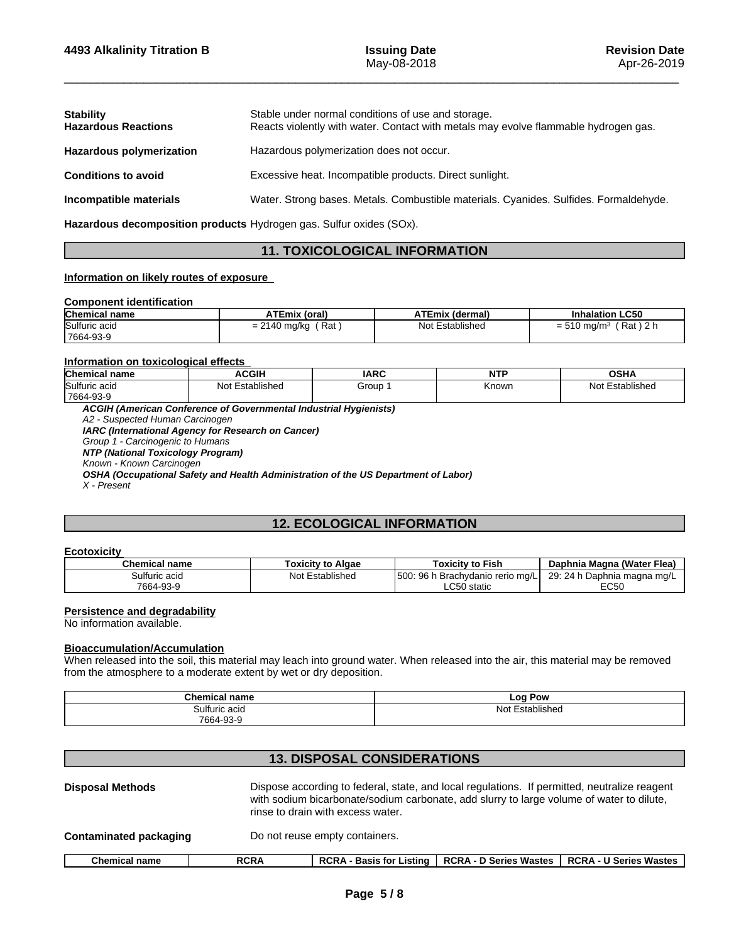| <b>Stability</b><br><b>Hazardous Reactions</b> | Stable under normal conditions of use and storage.<br>Reacts violently with water. Contact with metals may evolve flammable hydrogen gas. |
|------------------------------------------------|-------------------------------------------------------------------------------------------------------------------------------------------|
| <b>Hazardous polymerization</b>                | Hazardous polymerization does not occur.                                                                                                  |
| <b>Conditions to avoid</b>                     | Excessive heat. Incompatible products. Direct sunlight.                                                                                   |
| Incompatible materials                         | Water. Strong bases. Metals. Combustible materials. Cyanides. Sulfides. Formaldehyde.                                                     |

**Hazardous decomposition products** Hydrogen gas. Sulfur oxides (SOx).

# **11. TOXICOLOGICAL INFORMATION**

# **Information on likely routes of exposure**

## **Component identification**

| <b>Chemical name</b> | <b>ATEmix (oral)</b>                      | <b>ATEmix (dermal)</b> | <b>Inhalation LC50</b>                                   |
|----------------------|-------------------------------------------|------------------------|----------------------------------------------------------|
| Sulfuric acid        | Rat<br>$\sim$<br>ົ<br>∣ ma∕ka<br>$= 2140$ | Not Established        | Rat)<br>$\sim$ 0 1.<br>$= 510$ ma/m <sup>3</sup><br>-2 r |
| 7664-93-9            |                                           |                        |                                                          |

## **Information on toxicological effects**

| <b>Chemical name</b>       | <b>ACGIF</b>       | <b>IARC</b> | NITI<br>. | <b>OSHA</b>        |
|----------------------------|--------------------|-------------|-----------|--------------------|
| Sulfuric acid<br>7664-93-9 | Not<br>Established | Group       | Known     | Not<br>Established |
|                            |                    |             |           |                    |

*ACGIH (American Conference of Governmental Industrial Hygienists)*

*A2 - Suspected Human Carcinogen IARC (International Agency for Research on Cancer)*

*Group 1 - Carcinogenic to Humans*

*NTP (National Toxicology Program)*

*Known - Known Carcinogen*

*OSHA (Occupational Safety and Health Administration of the US Department of Labor)*

*X - Present*

# **12. ECOLOGICAL INFORMATION**

#### **Ecotoxicity**

| <b>Chemical name</b> | Toxicitv to Algae  | <b>Toxicity to Fish</b>                   | (Water Flea)<br>Daphnia Magna                       |
|----------------------|--------------------|-------------------------------------------|-----------------------------------------------------|
| 3ulfuric acid<br>س د | Established<br>Not | 500<br>96r<br>n Brachvdanio rerio<br>ma/L | 29:<br>$D_{\alpha}$<br>24 h<br>. ⊃aphnia magna mg/L |
| 7664-93-9            |                    | $\sim$ $\sim$<br>static) ا<br>∟∪ง∪        | EC50<br>LUJU                                        |

## **Persistence and degradability**

No information available.

# **Bioaccumulation/Accumulation**

When released into the soil, this material may leach into ground water. When released into the air, this material may be removed from the atmosphere to a moderate extent by wet or dry deposition.

| --<br><b>Chemical name</b> | LOO<br>Pow<br>.                 |
|----------------------------|---------------------------------|
| Sulfuric acid              | $\cdot$ .<br>Not<br>stablished: |
| 7664-93-9                  |                                 |

# **13. DISPOSAL CONSIDERATIONS**

| <b>Disposal Methods</b> |             | Dispose according to federal, state, and local regulations. If permitted, neutralize reagent<br>with sodium bicarbonate/sodium carbonate, add slurry to large volume of water to dilute,<br>rinse to drain with excess water. |                               |                               |  |
|-------------------------|-------------|-------------------------------------------------------------------------------------------------------------------------------------------------------------------------------------------------------------------------------|-------------------------------|-------------------------------|--|
| Contaminated packaging  |             | Do not reuse empty containers.                                                                                                                                                                                                |                               |                               |  |
| <b>Chemical name</b>    | <b>RCRA</b> | <b>RCRA - Basis for Listing</b>                                                                                                                                                                                               | <b>RCRA - D Series Wastes</b> | <b>RCRA - U Series Wastes</b> |  |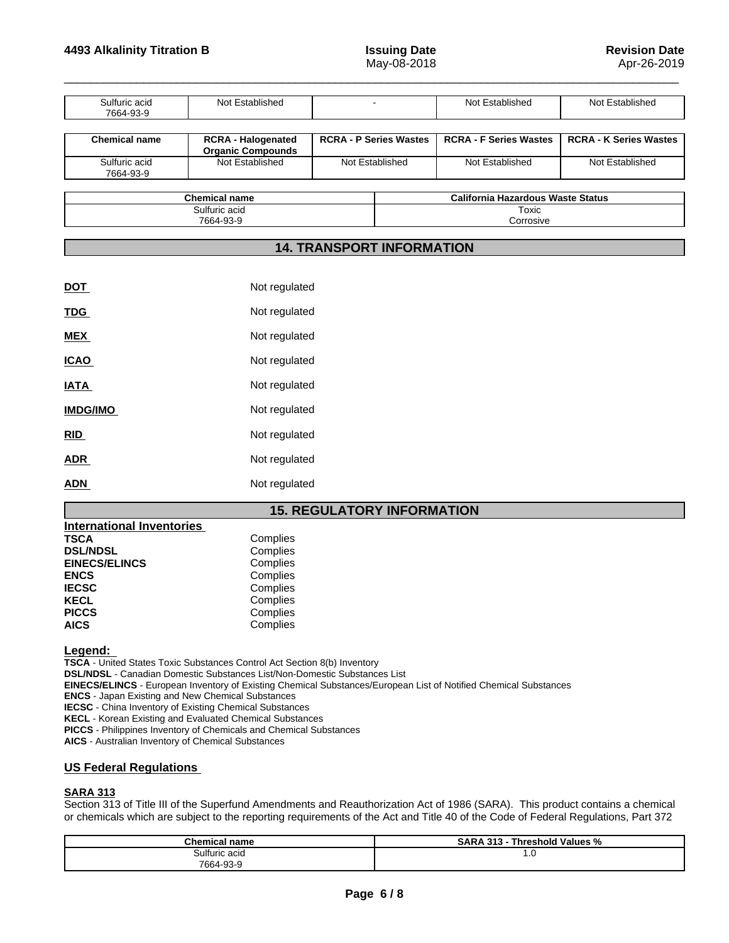Corrosive

| Sulfuric acid<br>7664-93-9 | Not Established                                       |  |                               | Not Established                          | Not Established               |
|----------------------------|-------------------------------------------------------|--|-------------------------------|------------------------------------------|-------------------------------|
| <b>Chemical name</b>       | <b>RCRA - Halogenated</b><br><b>Organic Compounds</b> |  | <b>RCRA - P Series Wastes</b> | <b>RCRA - F Series Wastes</b>            | <b>RCRA - K Series Wastes</b> |
| Sulfuric acid<br>7664-93-9 | Not Established                                       |  | Not Established               | Not Established                          | Not Established               |
|                            | Chemical name                                         |  |                               | <b>California Hazardous Waste Status</b> |                               |
| Sulfuric acid              |                                                       |  | Toxic                         |                                          |                               |

# **14. TRANSPORT INFORMATION**

| <u>DOT</u>      | Not regulated |
|-----------------|---------------|
| <b>TDG</b>      | Not regulated |
| <b>MEX</b>      | Not regulated |
| <b>ICAO</b>     | Not regulated |
| <b>IATA</b>     | Not regulated |
| <b>IMDG/IMO</b> | Not regulated |
| <u>RID</u>      | Not regulated |
| <b>ADR</b>      | Not regulated |
| <b>ADN</b>      | Not regulated |
|                 |               |

7664-93-9

# **15. REGULATORY INFORMATION**

| <b>International Inventories</b> |          |  |
|----------------------------------|----------|--|
| <b>TSCA</b>                      | Complies |  |
| <b>DSL/NDSL</b>                  | Complies |  |
| <b>EINECS/ELINCS</b>             | Complies |  |
| <b>ENCS</b>                      | Complies |  |
| <b>IECSC</b>                     | Complies |  |
| <b>KECL</b>                      | Complies |  |
| <b>PICCS</b>                     | Complies |  |
| <b>AICS</b>                      | Complies |  |

## **Legend:**

**TSCA** - United States Toxic Substances Control Act Section 8(b) Inventory **DSL/NDSL** - Canadian Domestic Substances List/Non-Domestic Substances List

**EINECS/ELINCS** - European Inventory of Existing Chemical Substances/European List of Notified Chemical Substances

**ENCS** - Japan Existing and New Chemical Substances

**IECSC** - China Inventory of Existing Chemical Substances

**KECL** - Korean Existing and Evaluated Chemical Substances

**PICCS** - Philippines Inventory of Chemicals and Chemical Substances

**AICS** - Australian Inventory of Chemical Substances

## **US Federal Regulations**

# **SARA 313**

Section 313 of Title III of the Superfund Amendments and Reauthorization Act of 1986 (SARA). This product contains a chemical or chemicals which are subject to the reporting requirements of the Act and Title 40 of the Code of Federal Regulations, Part 372

| <b>Chemical name</b> | --<br><br>Threshold Values %<br>242<br>SARA<br>$\cdot$ .<br>. . |
|----------------------|-----------------------------------------------------------------|
| ~<br>Sulfuric acid   | <b></b><br>$\sim$                                               |
| 7664-93-9            |                                                                 |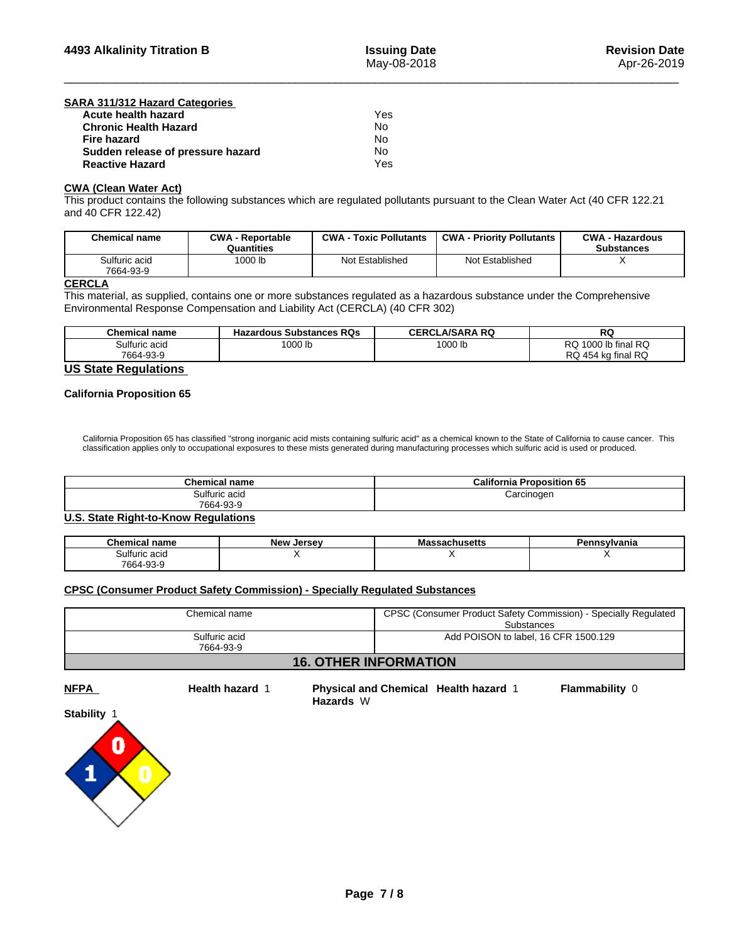| SARA 311/312 Hazard Categories    |     |  |
|-----------------------------------|-----|--|
| Acute health hazard               | Yes |  |
| <b>Chronic Health Hazard</b>      | No  |  |
| <b>Fire hazard</b>                | No  |  |
| Sudden release of pressure hazard | No  |  |
| <b>Reactive Hazard</b>            | Yes |  |

## **CWA** (Clean Water Act)

This product contains the following substances which are regulated pollutants pursuant to the Clean Water Act (40 CFR 122.21 and 40 CFR 122.42)

| <b>Chemical name</b>       | <b>CWA - Reportable</b><br>Quantities | $CWA -$<br><b>⋅ Toxic Pollutants</b> | <b>CWA - Priority Pollutants</b> | <b>CWA - Hazardous</b><br><b>Substances</b> |
|----------------------------|---------------------------------------|--------------------------------------|----------------------------------|---------------------------------------------|
| Sulfuric acid<br>7664-93-9 | 1000 lb                               | Not Established                      | Not Established                  |                                             |

# **CERCLA**

This material, as supplied, contains one or more substances regulated as a hazardous substance under the Comprehensive Environmental Response Compensation and Liability Act (CERCLA) (40 CFR 302)

| <b>RQ</b><br>1000 lb<br>1000 lb<br>. A O O C<br><br>lb final<br>ulfuric acidٽ<br>uuu<br>שו | <b>Chemical name</b> | <b>Hazardous Substances RQs</b> | <b>LA/SARA RQ</b><br>CERCL | RG |
|--------------------------------------------------------------------------------------------|----------------------|---------------------------------|----------------------------|----|
|                                                                                            |                      |                                 |                            |    |
| ∣RC<br>7664-93-9<br><b>RQ</b><br>454<br>' kɑ final                                         |                      |                                 |                            |    |

# **US State Regulations**

## **California Proposition 65**

California Proposition 65 has classified "strong inorganic acid mists containing sulfuric acid" as a chemical known to the State of California to cause cancer. This classification applies only to occupational exposures to these mists generated during manufacturing processes which sulfuric acid is used or produced.

| <b>Chemical name</b> | <b>California Proposition 65</b> |
|----------------------|----------------------------------|
| Sulfuric acid        | Carcinogen                       |
| 7664-93-9            |                                  |

## **U.S. State Right-to-Know Regulations**

| <b>Chemical name</b> | - -<br><b>New</b><br>Jersev | aassacnusetts | `nsvlvania |
|----------------------|-----------------------------|---------------|------------|
| Sulturic acid        |                             |               | . .        |
| 7664-93-9            |                             |               |            |

# **CPSC (Consumer Product Safety Commission) - Specially Regulated Substances**

| Chemical name                | CPSC (Consumer Product Safety Commission) - Specially Regulated<br><b>Substances</b> |
|------------------------------|--------------------------------------------------------------------------------------|
| Sulfuric acid<br>7664-93-9   | Add POISON to label, 16 CFR 1500.129                                                 |
| <b>16. OTHER INFORMATION</b> |                                                                                      |

**NFPA Health hazard** 1**Physical and Chemical Health hazard** 1 **Flammability** 0 **Hazards** W

**Stability** 1